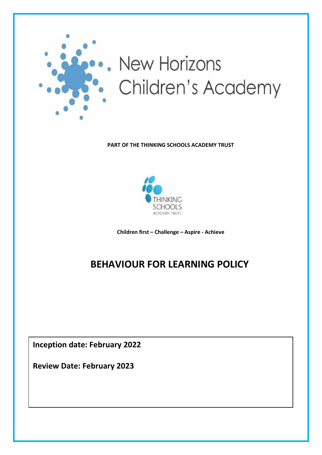

**PART OF THE THINKING SCHOOLS ACADEMY TRUST**



**Children first – Challenge – Aspire - Achieve**

# **BEHAVIOUR FOR LEARNING POLICY**

**Inception date: February 2022**

**Review Date: February 2023**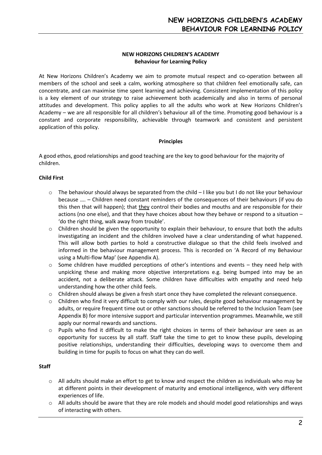# **NEW HORIZONS CHILDREN'S ACADEMY Behaviour for Learning Policy**

At New Horizons Children's Academy we aim to promote mutual respect and co-operation between all members of the school and seek a calm, working atmosphere so that children feel emotionally safe, can concentrate, and can maximise time spent learning and achieving. Consistent implementation of this policy is a key element of our strategy to raise achievement both academically and also in terms of personal attitudes and development. This policy applies to all the adults who work at New Horizons Children's Academy – we are all responsible for all children's behaviour all of the time. Promoting good behaviour is a constant and corporate responsibility, achievable through teamwork and consistent and persistent application of this policy.

# **Principles**

A good ethos, good relationships and good teaching are the key to good behaviour for the majority of children.

# **Child First**

- $\circ$  The behaviour should always be separated from the child I like you but I do not like your behaviour because …. – Children need constant reminders of the consequences of their behaviours (if you do this then that will happen); that they control their bodies and mouths and are responsible for their actions (no one else), and that they have choices about how they behave or respond to a situation – 'do the right thing, walk away from trouble'.
- $\circ$  Children should be given the opportunity to explain their behaviour, to ensure that both the adults investigating an incident and the children involved have a clear understanding of what happened. This will allow both parties to hold a constructive dialogue so that the child feels involved and informed in the behaviour management process. This is recorded on 'A Record of my Behaviour using a Multi-flow Map' (see Appendix A).
- Some children have muddled perceptions of other's intentions and events they need help with unpicking these and making more objective interpretations e.g. being bumped into may be an accident, not a deliberate attack. Some children have difficulties with empathy and need help understanding how the other child feels.
- $\circ$  Children should always be given a fresh start once they have completed the relevant consequence.
- $\circ$  Children who find it very difficult to comply with our rules, despite good behaviour management by adults, or require frequent time out or other sanctions should be referred to the Inclusion Team (see Appendix B) for more intensive support and particular intervention programmes. Meanwhile, we still apply our normal rewards and sanctions.
- $\circ$  Pupils who find it difficult to make the right choices in terms of their behaviour are seen as an opportunity for success by all staff. Staff take the time to get to know these pupils, developing positive relationships, understanding their difficulties, developing ways to overcome them and building in time for pupils to focus on what they can do well.

# **Staff**

- o All adults should make an effort to get to know and respect the children as individuals who may be at different points in their development of maturity and emotional intelligence, with very different experiences of life.
- $\circ$  All adults should be aware that they are role models and should model good relationships and ways of interacting with others.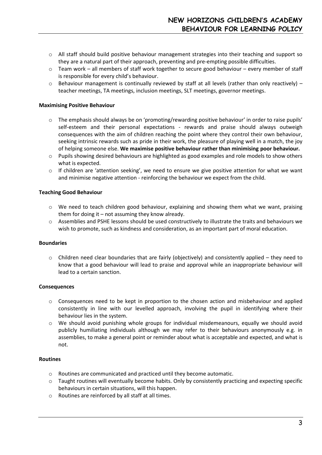- o All staff should build positive behaviour management strategies into their teaching and support so they are a natural part of their approach, preventing and pre-empting possible difficulties.
- $\circ$  Team work all members of staff work together to secure good behaviour every member of staff is responsible for every child's behaviour.
- $\circ$  Behaviour management is continually reviewed by staff at all levels (rather than only reactively) teacher meetings, TA meetings, inclusion meetings, SLT meetings, governor meetings.

#### **Maximising Positive Behaviour**

- $\circ$  The emphasis should always be on 'promoting/rewarding positive behaviour' in order to raise pupils' self-esteem and their personal expectations - rewards and praise should always outweigh consequences with the aim of children reaching the point where they control their own behaviour, seeking intrinsic rewards such as pride in their work, the pleasure of playing well in a match, the joy of helping someone else. **We maximise positive behaviour rather than minimising poor behaviour.**
- o Pupils showing desired behaviours are highlighted as good examples and role models to show others what is expected.
- $\circ$  If children are 'attention seeking', we need to ensure we give positive attention for what we want and minimise negative attention - reinforcing the behaviour we expect from the child.

#### **Teaching Good Behaviour**

- $\circ$  We need to teach children good behaviour, explaining and showing them what we want, praising them for doing it – not assuming they know already.
- o Assemblies and PSHE lessons should be used constructively to illustrate the traits and behaviours we wish to promote, such as kindness and consideration, as an important part of moral education.

#### **Boundaries**

 $\circ$  Children need clear boundaries that are fairly (objectively) and consistently applied – they need to know that a good behaviour will lead to praise and approval while an inappropriate behaviour will lead to a certain sanction.

#### **Consequences**

- $\circ$  Consequences need to be kept in proportion to the chosen action and misbehaviour and applied consistently in line with our levelled approach, involving the pupil in identifying where their behaviour lies in the system.
- o We should avoid punishing whole groups for individual misdemeanours, equally we should avoid publicly humiliating individuals although we may refer to their behaviours anonymously e.g. in assemblies, to make a general point or reminder about what is acceptable and expected, and what is not.

#### **Routines**

- o Routines are communicated and practiced until they become automatic.
- o Taught routines will eventually become habits. Only by consistently practicing and expecting specific behaviours in certain situations, will this happen.
- o Routines are reinforced by all staff at all times.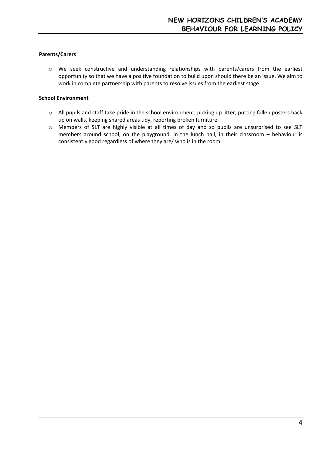# **Parents/Carers**

o We seek constructive and understanding relationships with parents/carers from the earliest opportunity so that we have a positive foundation to build upon should there be an issue. We aim to work in complete partnership with parents to resolve issues from the earliest stage.

#### **School Environment**

- o All pupils and staff take pride in the school environment, picking up litter, putting fallen posters back up on walls, keeping shared areas tidy, reporting broken furniture.
- o Members of SLT are highly visible at all times of day and so pupils are unsurprised to see SLT members around school, on the playground, in the lunch hall, in their classroom – behaviour is consistently good regardless of where they are/ who is in the room.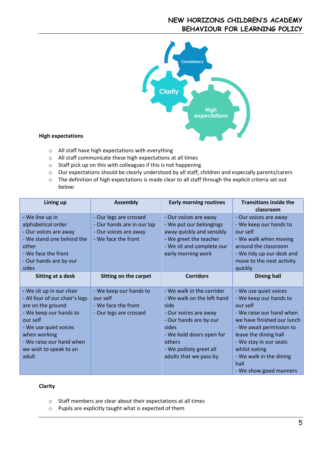# **NEW HORIZONS CHILDREN'S ACADEMY BEHAVIOUR FOR LEARNING POLICY**



### **High expectations**

- o All staff have high expectations with everything
- o All staff communicate these high expectations at all times
- o Staff pick up on this with colleagues if this is not happening
- o Our expectations should be clearly understood by all staff, children and especially parents/carers
- o The definition of high expectations is made clear to all staff through the explicit criteria set out below:

| Lining up                                                                                                                                                                                                                     | <b>Assembly</b>                                                                                      | <b>Early morning routines</b>                                                                                                                                                                                          | <b>Transitions inside the</b><br>classroom                                                                                                                                                                                                                                         |
|-------------------------------------------------------------------------------------------------------------------------------------------------------------------------------------------------------------------------------|------------------------------------------------------------------------------------------------------|------------------------------------------------------------------------------------------------------------------------------------------------------------------------------------------------------------------------|------------------------------------------------------------------------------------------------------------------------------------------------------------------------------------------------------------------------------------------------------------------------------------|
| - We line up in<br>alphabetical order<br>- Our voices are away<br>- We stand one behind the                                                                                                                                   | - Our legs are crossed<br>- Our hands are in our lap<br>- Our voices are away<br>- We face the front | - Our voices are away<br>- We put our belongings<br>away quickly and sensibly<br>- We greet the teacher                                                                                                                | - Our voices are away<br>- We keep our hands to<br>our self<br>- We walk when moving                                                                                                                                                                                               |
| other<br>- We face the front<br>- Our hands are by our<br>sides                                                                                                                                                               |                                                                                                      | - We sit and complete our<br>early morning work                                                                                                                                                                        | around the classroom<br>- We tidy up our desk and<br>move to the next activity<br>quickly                                                                                                                                                                                          |
| Sitting at a desk                                                                                                                                                                                                             | Sitting on the carpet                                                                                | <b>Corridors</b>                                                                                                                                                                                                       | Dining hall                                                                                                                                                                                                                                                                        |
| - We sit up in our chair<br>- All four of our chair's legs<br>are on the ground<br>- We keep our hands to<br>our self<br>- We use quiet voices<br>when working<br>- We raise our hand when<br>we wish to speak to an<br>adult | - We keep our hands to<br>our self<br>- We face the front<br>- Our legs are crossed                  | - We walk in the corridor<br>- We walk on the left hand<br>side<br>- Our voices are away<br>- Our hands are by our<br>sides<br>- We hold doors open for<br>others<br>- We politely greet all<br>adults that we pass by | - We use quiet voices<br>- We keep our hands to<br>our self<br>- We raise our hand when<br>we have finished our lunch<br>- We await permission to<br>leave the dining hall<br>- We stay in our seats<br>whilst eating<br>- We walk in the dining<br>hall<br>- We show good manners |

#### **Clarity**

- o Staff members are clear about their expectations at all times
- o Pupils are explicitly taught what is expected of them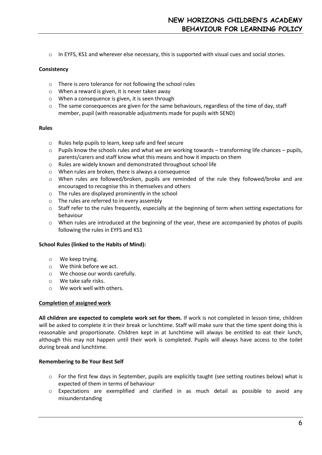$\circ$  In EYFS, KS1 and wherever else necessary, this is supported with visual cues and social stories.

#### **Consistency**

- o There is zero tolerance for not following the school rules
- o When a reward is given, it is never taken away
- o When a consequence is given, it is seen through
- $\circ$  The same consequences are given for the same behaviours, regardless of the time of day, staff member, pupil (with reasonable adjustments made for pupils with SEND)

#### **Rules**

- o Rules help pupils to learn, keep safe and feel secure
- $\circ$  Pupils know the schools rules and what we are working towards transforming life chances pupils, parents/carers and staff know what this means and how it impacts on them
- o Rules are widely known and demonstrated throughout school life
- o When rules are broken, there is always a consequence
- o When rules are followed/broken, pupils are reminded of the rule they followed/broke and are encouraged to recognise this in themselves and others
- o The rules are displayed prominently in the school
- o The rules are referred to in every assembly
- o Staff refer to the rules frequently, especially at the beginning of term when setting expectations for behaviour
- $\circ$  When rules are introduced at the beginning of the year, these are accompanied by photos of pupils following the rules in EYFS and KS1

#### **School Rules (linked to the Habits of Mind):**

- o We keep trying.
- o We think before we act.
- o We choose our words carefully.
- o We take safe risks.
- o We work well with others.

#### **Completion of assigned work**

**All children are expected to complete work set for them.** If work is not completed in lesson time, children will be asked to complete it in their break or lunchtime. Staff will make sure that the time spent doing this is reasonable and proportionate. Children kept in at lunchtime will always be entitled to eat their lunch, although this may not happen until their work is completed. Pupils will always have access to the toilet during break and lunchtime.

# **Remembering to Be Your Best Self**

- $\circ$  For the first few days in September, pupils are explicitly taught (see setting routines below) what is expected of them in terms of behaviour
- o Expectations are exemplified and clarified in as much detail as possible to avoid any misunderstanding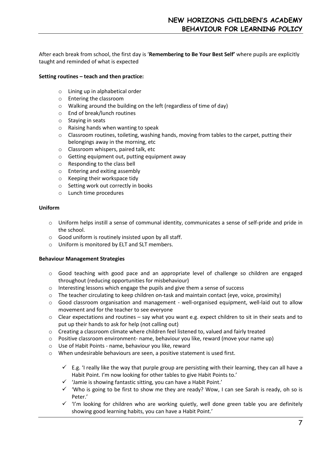After each break from school, the first day is '**Remembering to Be Your Best Self'** where pupils are explicitly taught and reminded of what is expected

# **Setting routines – teach and then practice:**

- o Lining up in alphabetical order
- o Entering the classroom
- o Walking around the building on the left (regardless of time of day)
- o End of break/lunch routines
- o Staying in seats
- o Raising hands when wanting to speak
- $\circ$  Classroom routines, toileting, washing hands, moving from tables to the carpet, putting their belongings away in the morning, etc
- o Classroom whispers, paired talk, etc
- o Getting equipment out, putting equipment away
- o Responding to the class bell
- o Entering and exiting assembly
- o Keeping their workspace tidy
- o Setting work out correctly in books
- o Lunch time procedures

#### **Uniform**

- o Uniform helps instill a sense of communal identity, communicates a sense of self-pride and pride in the school.
- o Good uniform is routinely insisted upon by all staff.
- o Uniform is monitored by ELT and SLT members.

# **Behaviour Management Strategies**

- o Good teaching with good pace and an appropriate level of challenge so children are engaged throughout (reducing opportunities for misbehaviour)
- $\circ$  Interesting lessons which engage the pupils and give them a sense of success
- $\circ$  The teacher circulating to keep children on-task and maintain contact (eye, voice, proximity)
- $\circ$  Good classroom organisation and management well-organised equipment, well-laid out to allow movement and for the teacher to see everyone
- $\circ$  Clear expectations and routines say what you want e.g. expect children to sit in their seats and to put up their hands to ask for help (not calling out)
- o Creating a classroom climate where children feel listened to, valued and fairly treated
- $\circ$  Positive classroom environment- name, behaviour you like, reward (move your name up)
- o Use of Habit Points name, behaviour you like, reward
- o When undesirable behaviours are seen, a positive statement is used first.
	- $\checkmark$  E.g. 'I really like the way that purple group are persisting with their learning, they can all have a Habit Point. I'm now looking for other tables to give Habit Points to.'
	- ✓ 'Jamie is showing fantastic sitting, you can have a Habit Point.'
	- ✓ 'Who is going to be first to show me they are ready? Wow, I can see Sarah is ready, oh so is Peter.'
	- ✓ 'I'm looking for children who are working quietly, well done green table you are definitely showing good learning habits, you can have a Habit Point.'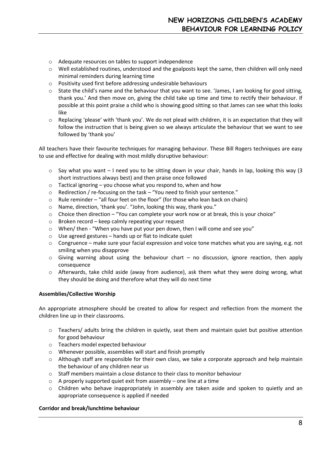- o Adequate resources on tables to support independence
- $\circ$  Well established routines, understood and the goalposts kept the same, then children will only need minimal reminders during learning time
- o Positivity used first before addressing undesirable behaviours
- $\circ$  State the child's name and the behaviour that you want to see. 'James, I am looking for good sitting, thank you.' And then move on, giving the child take up time and time to rectify their behaviour. If possible at this point praise a child who is showing good sitting so that James can see what this looks like
- $\circ$  Replacing 'please' with 'thank you'. We do not plead with children, it is an expectation that they will follow the instruction that is being given so we always articulate the behaviour that we want to see followed by 'thank you'

All teachers have their favourite techniques for managing behaviour. These Bill Rogers techniques are easy to use and effective for dealing with most mildly disruptive behaviour:

- $\circ$  Say what you want I need you to be sitting down in your chair, hands in lap, looking this way (3) short instructions always best) and then praise once followed
- $\circ$  Tactical ignoring you choose what you respond to, when and how
- o Redirection / re-focusing on the task "You need to finish your sentence."
- $\circ$  Rule reminder "all four feet on the floor" (for those who lean back on chairs)
- o Name, direction, 'thank you'. "John, looking this way, thank you."
- $\circ$  Choice then direction "You can complete your work now or at break, this is your choice"
- o Broken record keep calmly repeating your request
- $\circ$  When/ then "When you have put your pen down, then I will come and see you"
- $\circ$  Use agreed gestures hands up or flat to indicate quiet
- $\circ$  Congruence make sure your facial expression and voice tone matches what you are saying, e.g. not smiling when you disapprove
- o Giving warning about using the behaviour chart no discussion, ignore reaction, then apply consequence
- o Afterwards, take child aside (away from audience), ask them what they were doing wrong, what they should be doing and therefore what they will do next time

#### **Assemblies/Collective Worship**

An appropriate atmosphere should be created to allow for respect and reflection from the moment the children line up in their classrooms.

- o Teachers/ adults bring the children in quietly, seat them and maintain quiet but positive attention for good behaviour
- o Teachers model expected behaviour
- o Whenever possible, assemblies will start and finish promptly
- o Although staff are responsible for their own class, we take a corporate approach and help maintain the behaviour of any children near us
- o Staff members maintain a close distance to their class to monitor behaviour
- o A properly supported quiet exit from assembly one line at a time
- $\circ$  Children who behave inappropriately in assembly are taken aside and spoken to quietly and an appropriate consequence is applied if needed

#### **Corridor and break/lunchtime behaviour**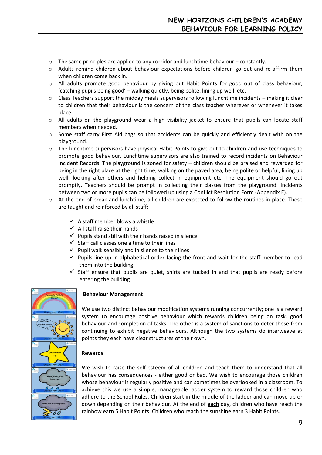- $\circ$  The same principles are applied to any corridor and lunchtime behaviour constantly.
- $\circ$  Adults remind children about behaviour expectations before children go out and re-affirm them when children come back in.
- o All adults promote good behaviour by giving out Habit Points for good out of class behaviour, 'catching pupils being good' – walking quietly, being polite, lining up well, etc.
- $\circ$  Class Teachers support the midday meals supervisors following lunchtime incidents making it clear to children that their behaviour is the concern of the class teacher wherever or whenever it takes place.
- $\circ$  All adults on the playground wear a high visibility jacket to ensure that pupils can locate staff members when needed.
- $\circ$  Some staff carry First Aid bags so that accidents can be quickly and efficiently dealt with on the playground.
- o The lunchtime supervisors have physical Habit Points to give out to children and use techniques to promote good behaviour. Lunchtime supervisors are also trained to record incidents on Behaviour Incident Records. The playground is zoned for safety – children should be praised and rewarded for being in the right place at the right time; walking on the paved area; being polite or helpful; lining up well; looking after others and helping collect in equipment etc. The equipment should go out promptly. Teachers should be prompt in collecting their classes from the playground. Incidents between two or more pupils can be followed up using a Conflict Resolution Form (Appendix E).
- $\circ$  At the end of break and lunchtime, all children are expected to follow the routines in place. These are taught and reinforced by all staff:
	- $\checkmark$  A staff member blows a whistle
	- $\checkmark$  All staff raise their hands
	- $\checkmark$  Pupils stand still with their hands raised in silence
	- $\checkmark$  Staff call classes one a time to their lines
	- $\checkmark$  Pupil walk sensibly and in silence to their lines
	- $\checkmark$  Pupils line up in alphabetical order facing the front and wait for the staff member to lead them into the building
	- $\checkmark$  Staff ensure that pupils are quiet, shirts are tucked in and that pupils are ready before entering the building



# **Behaviour Management**

We use two distinct behaviour modification systems running concurrently; one is a reward system to encourage positive behaviour which rewards children being on task, good behaviour and completion of tasks. The other is a system of sanctions to deter those from continuing to exhibit negative behaviours. Although the two systems do interweave at points they each have clear structures of their own.

#### **Rewards**

We wish to raise the self-esteem of all children and teach them to understand that all behaviour has consequences - either good or bad. We wish to encourage those children whose behaviour is regularly positive and can sometimes be overlooked in a classroom. To achieve this we use a simple, manageable ladder system to reward those children who adhere to the School Rules. Children start in the middle of the ladder and can move up or down depending on their behaviour. At the end of **each** day, children who have reach the rainbow earn 5 Habit Points. Children who reach the sunshine earn 3 Habit Points.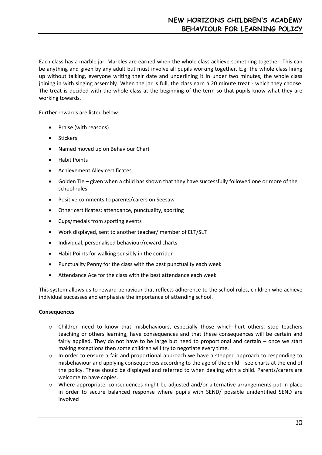Each class has a marble jar. Marbles are earned when the whole class achieve something together. This can be anything and given by any adult but must involve all pupils working together. E.g. the whole class lining up without talking, everyone writing their date and underlining it in under two minutes, the whole class joining in with singing assembly. When the jar is full, the class earn a 20 minute treat - which they choose. The treat is decided with the whole class at the beginning of the term so that pupils know what they are working towards.

Further rewards are listed below:

- Praise (with reasons)
- Stickers
- Named moved up on Behaviour Chart
- Habit Points
- Achievement Alley certificates
- Golden Tie given when a child has shown that they have successfully followed one or more of the school rules
- Positive comments to parents/carers on Seesaw
- Other certificates: attendance, punctuality, sporting
- Cups/medals from sporting events
- Work displayed, sent to another teacher/ member of ELT/SLT
- Individual, personalised behaviour/reward charts
- Habit Points for walking sensibly in the corridor
- Punctuality Penny for the class with the best punctuality each week
- Attendance Ace for the class with the best attendance each week

This system allows us to reward behaviour that reflects adherence to the school rules, children who achieve individual successes and emphasise the importance of attending school.

#### **Consequences**

- o Children need to know that misbehaviours, especially those which hurt others, stop teachers teaching or others learning, have consequences and that these consequences will be certain and fairly applied. They do not have to be large but need to proportional and certain – once we start making exceptions then some children will try to negotiate every time.
- $\circ$  In order to ensure a fair and proportional approach we have a stepped approach to responding to misbehaviour and applying consequences according to the age of the child – see charts at the end of the policy. These should be displayed and referred to when dealing with a child. Parents/carers are welcome to have copies.
- $\circ$  Where appropriate, consequences might be adjusted and/or alternative arrangements put in place in order to secure balanced response where pupils with SEND/ possible unidentified SEND are involved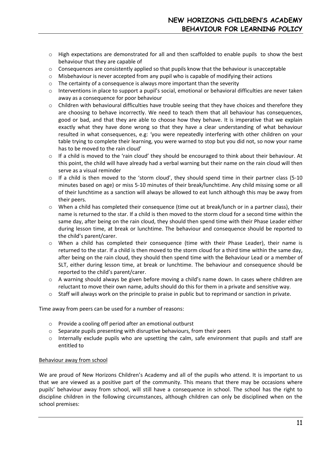- o High expectations are demonstrated for all and then scaffolded to enable pupils to show the best behaviour that they are capable of
- $\circ$  Consequences are consistently applied so that pupils know that the behaviour is unacceptable
- o Misbehaviour is never accepted from any pupil who is capable of modifying their actions
- $\circ$  The certainty of a consequence is always more important than the severity
- $\circ$  Interventions in place to support a pupil's social, emotional or behavioral difficulties are never taken away as a consequence for poor behaviour
- o Children with behavioural difficulties have trouble seeing that they have choices and therefore they are choosing to behave incorrectly. We need to teach them that all behaviour has consequences, good or bad, and that they are able to choose how they behave. It is imperative that we explain exactly what they have done wrong so that they have a clear understanding of what behaviour resulted in what consequences, e.g: 'you were repeatedly interfering with other children on your table trying to complete their learning, you were warned to stop but you did not, so now your name has to be moved to the rain cloud'
- o If a child is moved to the 'rain cloud' they should be encouraged to think about their behaviour. At this point, the child will have already had a verbal warning but their name on the rain cloud will then serve as a visual reminder
- $\circ$  If a child is then moved to the 'storm cloud', they should spend time in their partner class (5-10 minutes based on age) or miss 5-10 minutes of their break/lunchtime. Any child missing some or all of their lunchtime as a sanction will always be allowed to eat lunch although this may be away from their peers.
- $\circ$  When a child has completed their consequence (time out at break/lunch or in a partner class), their name is returned to the star. If a child is then moved to the storm cloud for a second time within the same day, after being on the rain cloud, they should then spend time with their Phase Leader either during lesson time, at break or lunchtime. The behaviour and consequence should be reported to the child's parent/carer.
- $\circ$  When a child has completed their consequence (time with their Phase Leader), their name is returned to the star. If a child is then moved to the storm cloud for a third time within the same day, after being on the rain cloud, they should then spend time with the Behaviour Lead or a member of SLT, either during lesson time, at break or lunchtime. The behaviour and consequence should be reported to the child's parent/carer.
- o A warning should always be given before moving a child's name down. In cases where children are reluctant to move their own name, adults should do this for them in a private and sensitive way.
- $\circ$  Staff will always work on the principle to praise in public but to reprimand or sanction in private.

Time away from peers can be used for a number of reasons:

- o Provide a cooling off period after an emotional outburst
- o Separate pupils presenting with disruptive behaviours, from their peers
- $\circ$  Internally exclude pupils who are upsetting the calm, safe environment that pupils and staff are entitled to

#### Behaviour away from school

We are proud of New Horizons Children's Academy and all of the pupils who attend. It is important to us that we are viewed as a positive part of the community. This means that there may be occasions where pupils' behaviour away from school, will still have a consequence in school. The school has the right to discipline children in the following circumstances, although children can only be disciplined when on the school premises: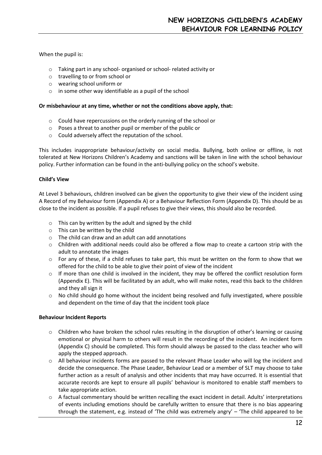# When the pupil is:

- o Taking part in any school- organised or school- related activity or
- o travelling to or from school or
- o wearing school uniform or
- o in some other way identifiable as a pupil of the school

#### **Or misbehaviour at any time, whether or not the conditions above apply, that:**

- o Could have repercussions on the orderly running of the school or
- o Poses a threat to another pupil or member of the public or
- o Could adversely affect the reputation of the school.

This includes inappropriate behaviour/activity on social media. Bullying, both online or offline, is not tolerated at New Horizons Children's Academy and sanctions will be taken in line with the school behaviour policy. Further information can be found in the anti-bullying policy on the school's website.

#### **Child's View**

At Level 3 behaviours, children involved can be given the opportunity to give their view of the incident using A Record of my Behaviour form (Appendix A) or a Behaviour Reflection Form (Appendix D). This should be as close to the incident as possible. If a pupil refuses to give their views, this should also be recorded.

- $\circ$  This can by written by the adult and signed by the child
- o This can be written by the child
- o The child can draw and an adult can add annotations
- o Children with additional needs could also be offered a flow map to create a cartoon strip with the adult to annotate the images
- $\circ$  For any of these, if a child refuses to take part, this must be written on the form to show that we offered for the child to be able to give their point of view of the incident
- $\circ$  If more than one child is involved in the incident, they may be offered the conflict resolution form (Appendix E). This will be facilitated by an adult, who will make notes, read this back to the children and they all sign it
- $\circ$  No child should go home without the incident being resolved and fully investigated, where possible and dependent on the time of day that the incident took place

#### **Behaviour Incident Reports**

- $\circ$  Children who have broken the school rules resulting in the disruption of other's learning or causing emotional or physical harm to others will result in the recording of the incident. An incident form (Appendix C) should be completed. This form should always be passed to the class teacher who will apply the stepped approach.
- $\circ$  All behaviour incidents forms are passed to the relevant Phase Leader who will log the incident and decide the consequence. The Phase Leader, Behaviour Lead or a member of SLT may choose to take further action as a result of analysis and other incidents that may have occurred. It is essential that accurate records are kept to ensure all pupils' behaviour is monitored to enable staff members to take appropriate action.
- $\circ$  A factual commentary should be written recalling the exact incident in detail. Adults' interpretations of events including emotions should be carefully written to ensure that there is no bias appearing through the statement, e.g. instead of 'The child was extremely angry' – 'The child appeared to be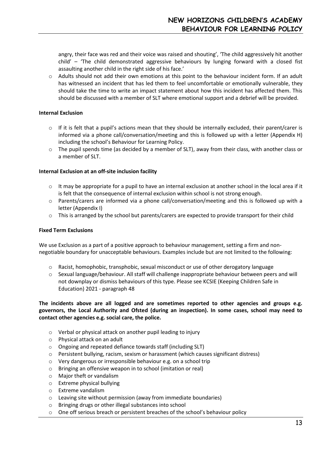angry, their face was red and their voice was raised and shouting', 'The child aggressively hit another child' – 'The child demonstrated aggressive behaviours by lunging forward with a closed fist assaulting another child in the right side of his face.'

o Adults should not add their own emotions at this point to the behaviour incident form. If an adult has witnessed an incident that has led them to feel uncomfortable or emotionally vulnerable, they should take the time to write an impact statement about how this incident has affected them. This should be discussed with a member of SLT where emotional support and a debrief will be provided.

#### **Internal Exclusion**

- $\circ$  If it is felt that a pupil's actions mean that they should be internally excluded, their parent/carer is informed via a phone call/conversation/meeting and this is followed up with a letter (Appendix H) including the school's Behaviour for Learning Policy.
- $\circ$  The pupil spends time (as decided by a member of SLT), away from their class, with another class or a member of SLT.

#### **Internal Exclusion at an off-site inclusion facility**

- $\circ$  It may be appropriate for a pupil to have an internal exclusion at another school in the local area if it is felt that the consequence of internal exclusion within school is not strong enough.
- o Parents/carers are informed via a phone call/conversation/meeting and this is followed up with a letter (Appendix I)
- $\circ$  This is arranged by the school but parents/carers are expected to provide transport for their child

#### **Fixed Term Exclusions**

We use Exclusion as a part of a positive approach to behaviour management, setting a firm and nonnegotiable boundary for unacceptable behaviours. Examples include but are not limited to the following:

- $\circ$  Racist, homophobic, transphobic, sexual misconduct or use of other derogatory language
- o Sexual language/behaviour. All staff will challenge inappropriate behaviour between peers and will not downplay or dismiss behaviours of this type. Please see KCSIE (Keeping Children Safe in Education) 2021 - paragraph 48

**The incidents above are all logged and are sometimes reported to other agencies and groups e.g. governors, the Local Authority and Ofsted (during an inspection). In some cases, school may need to contact other agencies e.g. social care, the police.** 

- o Verbal or physical attack on another pupil leading to injury
- o Physical attack on an adult
- o Ongoing and repeated defiance towards staff (including SLT)
- o Persistent bullying, racism, sexism or harassment (which causes significant distress)
- o Very dangerous or irresponsible behaviour e.g. on a school trip
- o Bringing an offensive weapon in to school (imitation or real)
- o Major theft or vandalism
- o Extreme physical bullying
- o Extreme vandalism
- o Leaving site without permission (away from immediate boundaries)
- o Bringing drugs or other illegal substances into school
- $\circ$  One off serious breach or persistent breaches of the school's behaviour policy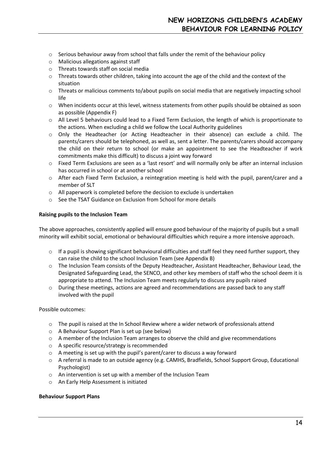- $\circ$  Serious behaviour away from school that falls under the remit of the behaviour policy
- o Malicious allegations against staff
- o Threats towards staff on social media
- o Threats towards other children, taking into account the age of the child and the context of the situation
- o Threats or malicious comments to/about pupils on social media that are negatively impacting school life
- o When incidents occur at this level, witness statements from other pupils should be obtained as soon as possible (Appendix F)
- o All Level 5 behaviours could lead to a Fixed Term Exclusion, the length of which is proportionate to the actions. When excluding a child we follow the Local Authority guidelines
- o Only the Headteacher (or Acting Headteacher in their absence) can exclude a child. The parents/carers should be telephoned, as well as, sent a letter. The parents/carers should accompany the child on their return to school (or make an appointment to see the Headteacher if work commitments make this difficult) to discuss a joint way forward
- o Fixed Term Exclusions are seen as a 'last resort' and will normally only be after an internal inclusion has occurred in school or at another school
- o After each Fixed Term Exclusion, a reintegration meeting is held with the pupil, parent/carer and a member of SLT
- o All paperwork is completed before the decision to exclude is undertaken
- o See the TSAT Guidance on Exclusion from School for more details

#### **Raising pupils to the Inclusion Team**

The above approaches, consistently applied will ensure good behaviour of the majority of pupils but a small minority will exhibit social, emotional or behavioural difficulties which require a more intensive approach.

- $\circ$  If a pupil is showing significant behavioural difficulties and staff feel they need further support, they can raise the child to the school Inclusion Team (see Appendix B)
- o The Inclusion Team consists of the Deputy Headteacher, Assistant Headteacher, Behaviour Lead, the Designated Safeguarding Lead, the SENCO, and other key members of staff who the school deem it is appropriate to attend. The Inclusion Team meets regularly to discuss any pupils raised
- $\circ$  During these meetings, actions are agreed and recommendations are passed back to any staff involved with the pupil

#### Possible outcomes:

- o The pupil is raised at the In School Review where a wider network of professionals attend
- o A Behaviour Support Plan is set up (see below)
- $\circ$  A member of the Inclusion Team arranges to observe the child and give recommendations
- o A specific resource/strategy is recommended
- $\circ$  A meeting is set up with the pupil's parent/carer to discuss a way forward
- o A referral is made to an outside agency (e.g. CAMHS, Bradfields, School Support Group, Educational Psychologist)
- o An intervention is set up with a member of the Inclusion Team
- o An Early Help Assessment is initiated

#### **Behaviour Support Plans**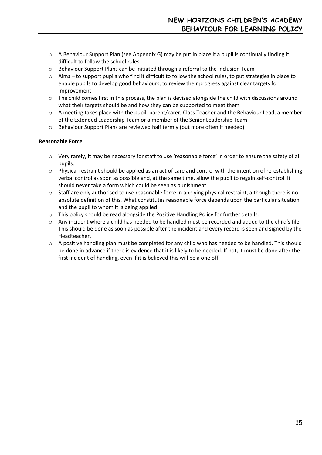- $\circ$  A Behaviour Support Plan (see Appendix G) may be put in place if a pupil is continually finding it difficult to follow the school rules
- $\circ$  Behaviour Support Plans can be initiated through a referral to the Inclusion Team
- o Aims to support pupils who find it difficult to follow the school rules, to put strategies in place to enable pupils to develop good behaviours, to review their progress against clear targets for improvement
- $\circ$  The child comes first in this process, the plan is devised alongside the child with discussions around what their targets should be and how they can be supported to meet them
- o A meeting takes place with the pupil, parent/carer, Class Teacher and the Behaviour Lead, a member of the Extended Leadership Team or a member of the Senior Leadership Team
- o Behaviour Support Plans are reviewed half termly (but more often if needed)

#### **Reasonable Force**

- o Very rarely, it may be necessary for staff to use 'reasonable force' in order to ensure the safety of all pupils.
- $\circ$  Physical restraint should be applied as an act of care and control with the intention of re-establishing verbal control as soon as possible and, at the same time, allow the pupil to regain self-control. It should never take a form which could be seen as punishment.
- $\circ$  Staff are only authorised to use reasonable force in applying physical restraint, although there is no absolute definition of this. What constitutes reasonable force depends upon the particular situation and the pupil to whom it is being applied.
- o This policy should be read alongside the Positive Handling Policy for further details.
- o Any incident where a child has needed to be handled must be recorded and added to the child's file. This should be done as soon as possible after the incident and every record is seen and signed by the Headteacher.
- $\circ$  A positive handling plan must be completed for any child who has needed to be handled. This should be done in advance if there is evidence that it is likely to be needed. If not, it must be done after the first incident of handling, even if it is believed this will be a one off.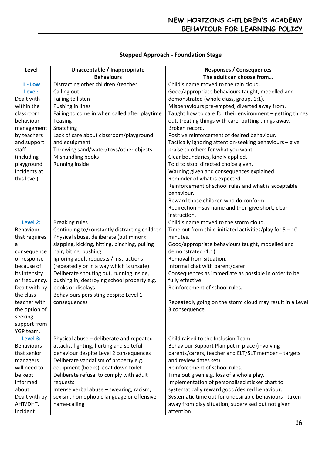| Level             | Unacceptable / Inappropriate                  | <b>Responses / Consequences</b>                            |
|-------------------|-----------------------------------------------|------------------------------------------------------------|
|                   | <b>Behaviours</b>                             | The adult can choose from                                  |
| $1 - Low$         | Distracting other children / teacher          | Child's name moved to the rain cloud.                      |
| Level:            | Calling out                                   | Good/appropriate behaviours taught, modelled and           |
| Dealt with        | Failing to listen                             | demonstrated (whole class, group, 1:1).                    |
| within the        | Pushing in lines                              | Misbehaviours pre-empted, diverted away from.              |
| classroom         | Failing to come in when called after playtime | Taught how to care for their environment - getting things  |
| behaviour         | Teasing                                       | out, treating things with care, putting things away.       |
| management        | Snatching                                     | Broken record.                                             |
| by teachers       | Lack of care about classroom/playground       | Positive reinforcement of desired behaviour.               |
| and support       | and equipment                                 | Tactically ignoring attention-seeking behaviours - give    |
| staff             | Throwing sand/water/toys/other objects        | praise to others for what you want.                        |
| (including        | Mishandling books                             | Clear boundaries, kindly applied.                          |
| playground        | Running inside                                | Told to stop, directed choice given.                       |
| incidents at      |                                               | Warning given and consequences explained.                  |
| this level).      |                                               | Reminder of what is expected.                              |
|                   |                                               | Reinforcement of school rules and what is acceptable       |
|                   |                                               | behaviour.                                                 |
|                   |                                               | Reward those children who do conform.                      |
|                   |                                               | Redirection - say name and then give short, clear          |
|                   |                                               | instruction.                                               |
| Level 2:          | <b>Breaking rules</b>                         | Child's name moved to the storm cloud.                     |
| Behaviour         | Continuing to/constantly distracting children | Time out from child-initiated activities/play for $5 - 10$ |
| that requires     | Physical abuse, deliberate (but minor):       | minutes.                                                   |
| a                 | slapping, kicking, hitting, pinching, pulling | Good/appropriate behaviours taught, modelled and           |
| consequence       | hair, biting, pushing                         | demonstrated (1:1).                                        |
| or response -     | Ignoring adult requests / instructions        | Removal from situation.                                    |
| because of        | (repeatedly or in a way which is unsafe).     | Informal chat with parent/carer.                           |
| its intensity     | Deliberate shouting out, running inside,      | Consequences as immediate as possible in order to be       |
| or frequency.     | pushing in, destroying school property e.g.   | fully effective.                                           |
| Dealt with by     | books or displays                             | Reinforcement of school rules.                             |
| the class         | Behaviours persisting despite Level 1         |                                                            |
| teacher with      | consequences                                  | Repeatedly going on the storm cloud may result in a Level  |
| the option of     |                                               | 3 consequence.                                             |
| seeking           |                                               |                                                            |
| support from      |                                               |                                                            |
| YGP team.         |                                               |                                                            |
| Level 3:          | Physical abuse - deliberate and repeated      | Child raised to the Inclusion Team.                        |
| <b>Behaviours</b> | attacks, fighting, hurting and spiteful       | Behaviour Support Plan put in place (involving             |
| that senior       | behaviour despite Level 2 consequences        | parents/carers, teacher and ELT/SLT member - targets       |
| managers          | Deliberate vandalism of property e.g.         | and review dates set).                                     |
| will need to      | equipment (books), coat down toilet           | Reinforcement of school rules.                             |
| be kept           | Deliberate refusal to comply with adult       | Time out given e.g. loss of a whole play.                  |
| informed          | requests                                      | Implementation of personalised sticker chart to            |
| about.            | Intense verbal abuse - swearing, racism,      | systematically reward good/desired behaviour.              |
| Dealt with by     | sexism, homophobic language or offensive      | Systematic time out for undesirable behaviours - taken     |
| AHT/DHT.          | name-calling                                  | away from play situation, supervised but not given         |
| Incident          |                                               | attention.                                                 |

# **Stepped Approach - Foundation Stage**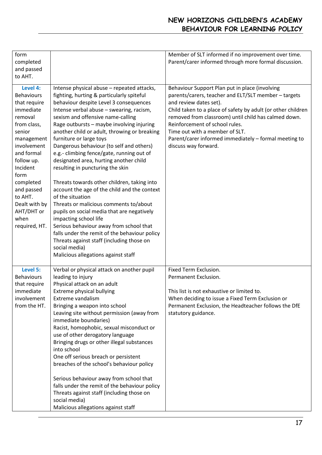# **NEW HORIZONS CHILDREN'S ACADEMY BEHAVIOUR FOR LEARNING POLICY**

| form<br>completed<br>and passed<br>to AHT.                                                                                                                                                                                                                                |                                                                                                                                                                                                                                                                                                                                                                                                                                                                                                                                                                                                                                                                                                                                                                                                                                                                                                                                                        | Member of SLT informed if no improvement over time.<br>Parent/carer informed through more formal discussion.                                                                                                                                                                                                                                                                                                  |
|---------------------------------------------------------------------------------------------------------------------------------------------------------------------------------------------------------------------------------------------------------------------------|--------------------------------------------------------------------------------------------------------------------------------------------------------------------------------------------------------------------------------------------------------------------------------------------------------------------------------------------------------------------------------------------------------------------------------------------------------------------------------------------------------------------------------------------------------------------------------------------------------------------------------------------------------------------------------------------------------------------------------------------------------------------------------------------------------------------------------------------------------------------------------------------------------------------------------------------------------|---------------------------------------------------------------------------------------------------------------------------------------------------------------------------------------------------------------------------------------------------------------------------------------------------------------------------------------------------------------------------------------------------------------|
| Level 4:<br><b>Behaviours</b><br>that require<br>immediate<br>removal<br>from class,<br>senior<br>management<br>involvement<br>and formal<br>follow up.<br>Incident<br>form<br>completed<br>and passed<br>to AHT.<br>Dealt with by<br>AHT/DHT or<br>when<br>required, HT. | Intense physical abuse - repeated attacks,<br>fighting, hurting & particularly spiteful<br>behaviour despite Level 3 consequences<br>Intense verbal abuse - swearing, racism,<br>sexism and offensive name-calling<br>Rage outbursts - maybe involving injuring<br>another child or adult, throwing or breaking<br>furniture or large toys<br>Dangerous behaviour (to self and others)<br>e.g.- climbing fence/gate, running out of<br>designated area, hurting another child<br>resulting in puncturing the skin<br>Threats towards other children, taking into<br>account the age of the child and the context<br>of the situation<br>Threats or malicious comments to/about<br>pupils on social media that are negatively<br>impacting school life<br>Serious behaviour away from school that<br>falls under the remit of the behaviour policy<br>Threats against staff (including those on<br>social media)<br>Malicious allegations against staff | Behaviour Support Plan put in place (involving<br>parents/carers, teacher and ELT/SLT member - targets<br>and review dates set).<br>Child taken to a place of safety by adult (or other children<br>removed from classroom) until child has calmed down.<br>Reinforcement of school rules.<br>Time out with a member of SLT.<br>Parent/carer informed immediately - formal meeting to<br>discuss way forward. |
| <b>Level 5:</b><br><b>Behaviours</b><br>that require<br>immediate<br>involvement<br>from the HT.                                                                                                                                                                          | Verbal or physical attack on another pupil<br>leading to injury<br>Physical attack on an adult<br>Extreme physical bullying<br>Extreme vandalism<br>Bringing a weapon into school<br>Leaving site without permission (away from<br>immediate boundaries)<br>Racist, homophobic, sexual misconduct or<br>use of other derogatory language<br>Bringing drugs or other illegal substances<br>into school<br>One off serious breach or persistent<br>breaches of the school's behaviour policy<br>Serious behaviour away from school that<br>falls under the remit of the behaviour policy<br>Threats against staff (including those on<br>social media)<br>Malicious allegations against staff                                                                                                                                                                                                                                                            | Fixed Term Exclusion.<br>Permanent Exclusion.<br>This list is not exhaustive or limited to.<br>When deciding to issue a Fixed Term Exclusion or<br>Permanent Exclusion, the Headteacher follows the DfE<br>statutory guidance.                                                                                                                                                                                |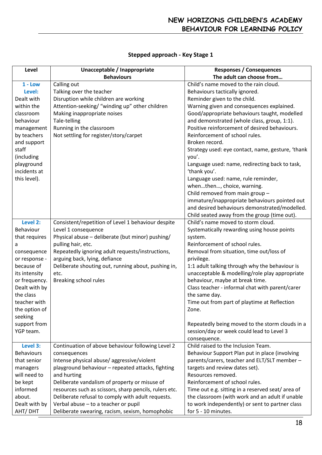# **Stepped approach - Key Stage 1**

| Level             | Unacceptable / Inappropriate                           | <b>Responses / Consequences</b>                       |
|-------------------|--------------------------------------------------------|-------------------------------------------------------|
|                   | <b>Behaviours</b>                                      | The adult can choose from                             |
| $1 - Low$         | Calling out                                            | Child's name moved to the rain cloud.                 |
| Level:            | Talking over the teacher                               | Behaviours tactically ignored.                        |
| Dealt with        | Disruption while children are working                  | Reminder given to the child.                          |
| within the        | Attention-seeking/ "winding up" other children         | Warning given and consequences explained.             |
| classroom         | Making inappropriate noises                            | Good/appropriate behaviours taught, modelled          |
| behaviour         | Tale-telling                                           | and demonstrated (whole class, group, 1:1).           |
| management        | Running in the classroom                               | Positive reinforcement of desired behaviours.         |
| by teachers       | Not settling for register/story/carpet                 | Reinforcement of school rules.                        |
| and support       |                                                        | Broken record.                                        |
| staff             |                                                        | Strategy used: eye contact, name, gesture, 'thank     |
| (including        |                                                        | you'.                                                 |
| playground        |                                                        | Language used: name, redirecting back to task,        |
| incidents at      |                                                        | 'thank you'.                                          |
| this level).      |                                                        | Language used: name, rule reminder,                   |
|                   |                                                        | whenthen, choice, warning.                            |
|                   |                                                        | Child removed from main group -                       |
|                   |                                                        | immature/inappropriate behaviours pointed out         |
|                   |                                                        | and desired behaviours demonstrated/modelled.         |
|                   |                                                        | Child seated away from the group (time out).          |
| Level 2:          | Consistent/repetition of Level 1 behaviour despite     | Child's name moved to storm cloud.                    |
| Behaviour         | Level 1 consequence                                    | Systematically rewarding using house points           |
| that requires     | Physical abuse - deliberate (but minor) pushing/       | system.                                               |
| a                 | pulling hair, etc.                                     | Reinforcement of school rules.                        |
| consequence       | Repeatedly ignoring adult requests/instructions,       | Removal from situation, time out/loss of              |
| or response -     | arguing back, lying, defiance                          | privilege.                                            |
| because of        | Deliberate shouting out, running about, pushing in,    | 1:1 adult talking through why the behaviour is        |
| its intensity     | etc.                                                   | unacceptable & modelling/role play appropriate        |
| or frequency.     | Breaking school rules                                  | behaviour, maybe at break time.                       |
| Dealt with by     |                                                        | Class teacher - informal chat with parent/carer       |
| the class         |                                                        |                                                       |
| teacher with      |                                                        | the same day.                                         |
|                   |                                                        | Time out from part of playtime at Reflection<br>Zone. |
| the option of     |                                                        |                                                       |
| seeking           |                                                        |                                                       |
| support from      |                                                        | Repeatedly being moved to the storm clouds in a       |
| YGP team.         |                                                        | session/day or week could lead to Level 3             |
|                   |                                                        | consequence.                                          |
| Level 3:          | Continuation of above behaviour following Level 2      | Child raised to the Inclusion Team.                   |
| <b>Behaviours</b> | consequences                                           | Behaviour Support Plan put in place (involving        |
| that senior       | Intense physical abuse/aggressive/violent              | parents/carers, teacher and ELT/SLT member -          |
| managers          | playground behaviour - repeated attacks, fighting      | targets and review dates set).                        |
| will need to      | and hurting                                            | Resources removed.                                    |
| be kept           | Deliberate vandalism of property or misuse of          | Reinforcement of school rules.                        |
| informed          | resources such as scissors, sharp pencils, rulers etc. | Time out e.g. sitting in a reserved seat/area of      |
| about.            | Deliberate refusal to comply with adult requests.      | the classroom (with work and an adult if unable       |
| Dealt with by     | Verbal abuse - to a teacher or pupil                   | to work independently) or sent to partner class       |
| AHT/DHT           | Deliberate swearing, racism, sexism, homophobic        | for 5 - 10 minutes.                                   |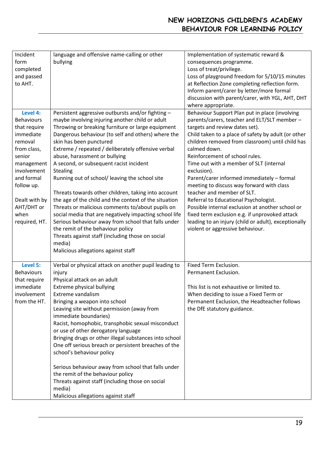# **NEW HORIZONS CHILDREN'S ACADEMY BEHAVIOUR FOR LEARNING POLICY**

| Incident          | language and offensive name-calling or other           | Implementation of systematic reward &                |
|-------------------|--------------------------------------------------------|------------------------------------------------------|
| form              | bullying                                               | consequences programme.                              |
| completed         |                                                        | Loss of treat/privilege.                             |
|                   |                                                        |                                                      |
| and passed        |                                                        | Loss of playground freedom for 5/10/15 minutes       |
| to AHT.           |                                                        | at Reflection Zone completing reflection form.       |
|                   |                                                        | Inform parent/carer by letter/more formal            |
|                   |                                                        | discussion with parent/carer, with YGL, AHT, DHT     |
|                   |                                                        | where appropriate.                                   |
| Level 4:          | Persistent aggressive outbursts and/or fighting -      | Behaviour Support Plan put in place (involving       |
| <b>Behaviours</b> | maybe involving injuring another child or adult        | parents/carers, teacher and ELT/SLT member -         |
| that require      | Throwing or breaking furniture or large equipment      | targets and review dates set).                       |
| immediate         | Dangerous behaviour (to self and others) where the     | Child taken to a place of safety by adult (or other  |
| removal           | skin has been punctured                                | children removed from classroom) until child has     |
| from class,       | Extreme / repeated / deliberately offensive verbal     | calmed down.                                         |
| senior            | abuse, harassment or bullying                          | Reinforcement of school rules.                       |
| management        | A second, or subsequent racist incident                | Time out with a member of SLT (internal              |
| involvement       | <b>Stealing</b>                                        | exclusion).                                          |
| and formal        | Running out of school/ leaving the school site         | Parent/carer informed immediately - formal           |
| follow up.        |                                                        | meeting to discuss way forward with class            |
|                   | Threats towards other children, taking into account    | teacher and member of SLT.                           |
| Dealt with by     | the age of the child and the context of the situation  | Referral to Educational Psychologist.                |
| AHT/DHT or        | Threats or malicious comments to/about pupils on       | Possible internal exclusion at another school or     |
| when              | social media that are negatively impacting school life | fixed term exclusion e.g. if unprovoked attack       |
| required, HT.     | Serious behaviour away from school that falls under    | leading to an injury (child or adult), exceptionally |
|                   | the remit of the behaviour policy                      | violent or aggressive behaviour.                     |
|                   | Threats against staff (including those on social       |                                                      |
|                   | media)                                                 |                                                      |
|                   | Malicious allegations against staff                    |                                                      |
|                   |                                                        |                                                      |
| Level 5:          | Verbal or physical attack on another pupil leading to  | Fixed Term Exclusion.                                |
| <b>Behaviours</b> | injury                                                 | Permanent Exclusion.                                 |
| that require      | Physical attack on an adult                            |                                                      |
| immediate         | Extreme physical bullying                              | This list is not exhaustive or limited to.           |
| involvement       | Extreme vandalism                                      | When deciding to issue a Fixed Term or               |
| from the HT.      | Bringing a weapon into school                          | Permanent Exclusion, the Headteacher follows         |
|                   | Leaving site without permission (away from             | the DfE statutory guidance.                          |
|                   | immediate boundaries)                                  |                                                      |
|                   |                                                        |                                                      |
|                   | Racist, homophobic, transphobic sexual misconduct      |                                                      |
|                   | or use of other derogatory language                    |                                                      |
|                   | Bringing drugs or other illegal substances into school |                                                      |
|                   | One off serious breach or persistent breaches of the   |                                                      |
|                   | school's behaviour policy                              |                                                      |
|                   |                                                        |                                                      |
|                   | Serious behaviour away from school that falls under    |                                                      |
|                   | the remit of the behaviour policy                      |                                                      |
|                   | Threats against staff (including those on social       |                                                      |
|                   | media)                                                 |                                                      |
|                   | Malicious allegations against staff                    |                                                      |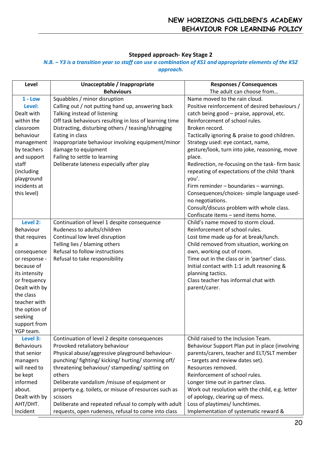# **Stepped approach- Key Stage 2**

# *N.B. – Y3 is a transition year so staff can use a combination of KS1 and appropriate elements of the KS2 approach.*

| Level                                                                                                                                                                                                                             | Unacceptable / Inappropriate                                                                                                                                                                                                                                                                                                                                                                                                                                                              | <b>Responses / Consequences</b>                                                                                                                                                                                                                                                                                                                                                                                                                                                                                                                                                                                                                                                |
|-----------------------------------------------------------------------------------------------------------------------------------------------------------------------------------------------------------------------------------|-------------------------------------------------------------------------------------------------------------------------------------------------------------------------------------------------------------------------------------------------------------------------------------------------------------------------------------------------------------------------------------------------------------------------------------------------------------------------------------------|--------------------------------------------------------------------------------------------------------------------------------------------------------------------------------------------------------------------------------------------------------------------------------------------------------------------------------------------------------------------------------------------------------------------------------------------------------------------------------------------------------------------------------------------------------------------------------------------------------------------------------------------------------------------------------|
| $1 - Low$<br>Level:<br>Dealt with<br>within the<br>classroom<br>behaviour<br>management<br>by teachers<br>and support<br>staff<br>(including<br>playground<br>incidents at<br>this level)                                         | <b>Behaviours</b><br>Squabbles / minor disruption<br>Calling out / not putting hand up, answering back<br>Talking instead of listening<br>Off task behaviours resulting in loss of learning time<br>Distracting, disturbing others / teasing/shrugging<br>Eating in class<br>Inappropriate behaviour involving equipment/minor<br>damage to equipment<br>Failing to settle to learning<br>Deliberate lateness especially after play                                                       | The adult can choose from<br>Name moved to the rain cloud.<br>Positive reinforcement of desired behaviours /<br>catch being good - praise, approval, etc.<br>Reinforcement of school rules.<br>Broken record.<br>Tactically ignoring & praise to good children.<br>Strategy used: eye contact, name,<br>gesture/look, turn into joke, reasoning, move<br>place.<br>Redirection, re-focusing on the task- firm basic<br>repeating of expectations of the child 'thank<br>you'.<br>Firm reminder - boundaries - warnings.<br>Consequences/choices- simple language used-<br>no negotiations.<br>Consult/discuss problem with whole class.<br>Confiscate items - send items home. |
| Level 2:<br>Behaviour<br>that requires<br>a<br>consequence<br>or response -<br>because of<br>its intensity<br>or frequency<br>Dealt with by<br>the class<br>teacher with<br>the option of<br>seeking<br>support from<br>YGP team. | Continuation of level 1 despite consequence<br>Rudeness to adults/children<br>Continual low level disruption<br>Telling lies / blaming others<br>Refusal to follow instructions<br>Refusal to take responsibility                                                                                                                                                                                                                                                                         | Child's name moved to storm cloud.<br>Reinforcement of school rules.<br>Lost time made up for at break/lunch.<br>Child removed from situation, working on<br>own, working out of room.<br>Time out in the class or in 'partner' class.<br>Initial contact with 1:1 adult reasoning &<br>planning tactics.<br>Class teacher has informal chat with<br>parent/carer.                                                                                                                                                                                                                                                                                                             |
| Level 3:<br><b>Behaviours</b><br>that senior<br>managers<br>will need to<br>be kept<br>informed<br>about.<br>Dealt with by<br>AHT/DHT.<br>Incident                                                                                | Continuation of level 2 despite consequences<br>Provoked retaliatory behaviour<br>Physical abuse/aggressive playground behaviour-<br>punching/ fighting/ kicking/ hurting/ storming off/<br>threatening behaviour/ stampeding/ spitting on<br>others<br>Deliberate vandalism / misuse of equipment or<br>property e.g. toilets, or misuse of resources such as<br>scissors<br>Deliberate and repeated refusal to comply with adult<br>requests, open rudeness, refusal to come into class | Child raised to the Inclusion Team.<br>Behaviour Support Plan put in place (involving<br>parents/carers, teacher and ELT/SLT member<br>- targets and review dates set).<br>Resources removed.<br>Reinforcement of school rules.<br>Longer time out in partner class.<br>Work out resolution with the child, e.g. letter<br>of apology, clearing up of mess.<br>Loss of playtimes/ lunchtimes.<br>Implementation of systematic reward &                                                                                                                                                                                                                                         |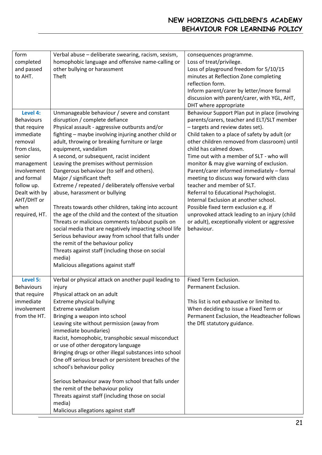# **NEW HORIZONS CHILDREN'S ACADEMY BEHAVIOUR FOR LEARNING POLICY**

| form<br>completed<br>and passed<br>to AHT.                                                                                                                                                                      | Verbal abuse - deliberate swearing, racism, sexism,<br>homophobic language and offensive name-calling or<br>other bullying or harassment<br>Theft                                                                                                                                                                                                                                                                                                                                                                                                                                                                                                                                                                                                                                                                                                                                                                                                         | consequences programme.<br>Loss of treat/privilege.<br>Loss of playground freedom for 5/10/15<br>minutes at Reflection Zone completing<br>reflection form.<br>Inform parent/carer by letter/more formal<br>discussion with parent/carer, with YGL, AHT,<br>DHT where appropriate                                                                                                                                                                                                                                                                                                                                                                                                                                         |
|-----------------------------------------------------------------------------------------------------------------------------------------------------------------------------------------------------------------|-----------------------------------------------------------------------------------------------------------------------------------------------------------------------------------------------------------------------------------------------------------------------------------------------------------------------------------------------------------------------------------------------------------------------------------------------------------------------------------------------------------------------------------------------------------------------------------------------------------------------------------------------------------------------------------------------------------------------------------------------------------------------------------------------------------------------------------------------------------------------------------------------------------------------------------------------------------|--------------------------------------------------------------------------------------------------------------------------------------------------------------------------------------------------------------------------------------------------------------------------------------------------------------------------------------------------------------------------------------------------------------------------------------------------------------------------------------------------------------------------------------------------------------------------------------------------------------------------------------------------------------------------------------------------------------------------|
| Level 4:<br><b>Behaviours</b><br>that require<br>immediate<br>removal<br>from class,<br>senior<br>management<br>involvement<br>and formal<br>follow up.<br>Dealt with by<br>AHT/DHT or<br>when<br>required, HT. | Unmanageable behaviour / severe and constant<br>disruption / complete defiance<br>Physical assault - aggressive outbursts and/or<br>fighting - maybe involving injuring another child or<br>adult, throwing or breaking furniture or large<br>equipment, vandalism<br>A second, or subsequent, racist incident<br>Leaving the premises without permission<br>Dangerous behaviour (to self and others).<br>Major / significant theft<br>Extreme / repeated / deliberately offensive verbal<br>abuse, harassment or bullying<br>Threats towards other children, taking into account<br>the age of the child and the context of the situation<br>Threats or malicious comments to/about pupils on<br>social media that are negatively impacting school life<br>Serious behaviour away from school that falls under<br>the remit of the behaviour policy<br>Threats against staff (including those on social<br>media)<br>Malicious allegations against staff | Behaviour Support Plan put in place (involving<br>parents/carers, teacher and ELT/SLT member<br>- targets and review dates set).<br>Child taken to a place of safety by adult (or<br>other children removed from classroom) until<br>child has calmed down.<br>Time out with a member of SLT - who will<br>monitor & may give warning of exclusion.<br>Parent/carer informed immediately - formal<br>meeting to discuss way forward with class<br>teacher and member of SLT.<br>Referral to Educational Psychologist.<br>Internal Exclusion at another school.<br>Possible fixed term exclusion e.g. if<br>unprovoked attack leading to an injury (child<br>or adult), exceptionally violent or aggressive<br>behaviour. |
| Level 5:<br><b>Behaviours</b><br>that require<br>immediate<br>involvement<br>from the HT.                                                                                                                       | Verbal or physical attack on another pupil leading to<br>injury<br>Physical attack on an adult<br>Extreme physical bullying<br>Extreme vandalism<br>Bringing a weapon into school<br>Leaving site without permission (away from<br>immediate boundaries)<br>Racist, homophobic, transphobic sexual misconduct<br>or use of other derogatory language<br>Bringing drugs or other illegal substances into school<br>One off serious breach or persistent breaches of the<br>school's behaviour policy<br>Serious behaviour away from school that falls under<br>the remit of the behaviour policy<br>Threats against staff (including those on social<br>media)<br>Malicious allegations against staff                                                                                                                                                                                                                                                      | Fixed Term Exclusion.<br>Permanent Exclusion.<br>This list is not exhaustive or limited to.<br>When deciding to issue a Fixed Term or<br>Permanent Exclusion, the Headteacher follows<br>the DfE statutory guidance.                                                                                                                                                                                                                                                                                                                                                                                                                                                                                                     |